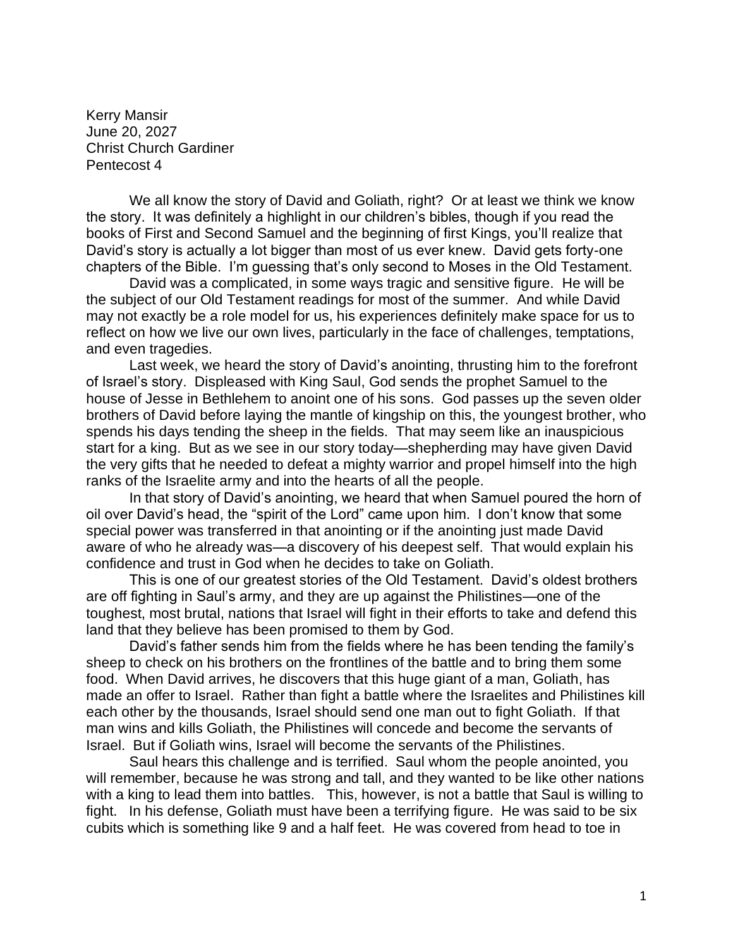Kerry Mansir June 20, 2027 Christ Church Gardiner Pentecost 4

We all know the story of David and Goliath, right? Or at least we think we know the story. It was definitely a highlight in our children's bibles, though if you read the books of First and Second Samuel and the beginning of first Kings, you'll realize that David's story is actually a lot bigger than most of us ever knew. David gets forty-one chapters of the Bible. I'm guessing that's only second to Moses in the Old Testament.

David was a complicated, in some ways tragic and sensitive figure. He will be the subject of our Old Testament readings for most of the summer. And while David may not exactly be a role model for us, his experiences definitely make space for us to reflect on how we live our own lives, particularly in the face of challenges, temptations, and even tragedies.

Last week, we heard the story of David's anointing, thrusting him to the forefront of Israel's story. Displeased with King Saul, God sends the prophet Samuel to the house of Jesse in Bethlehem to anoint one of his sons. God passes up the seven older brothers of David before laying the mantle of kingship on this, the youngest brother, who spends his days tending the sheep in the fields. That may seem like an inauspicious start for a king. But as we see in our story today—shepherding may have given David the very gifts that he needed to defeat a mighty warrior and propel himself into the high ranks of the Israelite army and into the hearts of all the people.

In that story of David's anointing, we heard that when Samuel poured the horn of oil over David's head, the "spirit of the Lord" came upon him. I don't know that some special power was transferred in that anointing or if the anointing just made David aware of who he already was—a discovery of his deepest self. That would explain his confidence and trust in God when he decides to take on Goliath.

This is one of our greatest stories of the Old Testament. David's oldest brothers are off fighting in Saul's army, and they are up against the Philistines—one of the toughest, most brutal, nations that Israel will fight in their efforts to take and defend this land that they believe has been promised to them by God.

David's father sends him from the fields where he has been tending the family's sheep to check on his brothers on the frontlines of the battle and to bring them some food. When David arrives, he discovers that this huge giant of a man, Goliath, has made an offer to Israel. Rather than fight a battle where the Israelites and Philistines kill each other by the thousands, Israel should send one man out to fight Goliath. If that man wins and kills Goliath, the Philistines will concede and become the servants of Israel. But if Goliath wins, Israel will become the servants of the Philistines.

Saul hears this challenge and is terrified. Saul whom the people anointed, you will remember, because he was strong and tall, and they wanted to be like other nations with a king to lead them into battles. This, however, is not a battle that Saul is willing to fight. In his defense, Goliath must have been a terrifying figure. He was said to be six cubits which is something like 9 and a half feet. He was covered from head to toe in